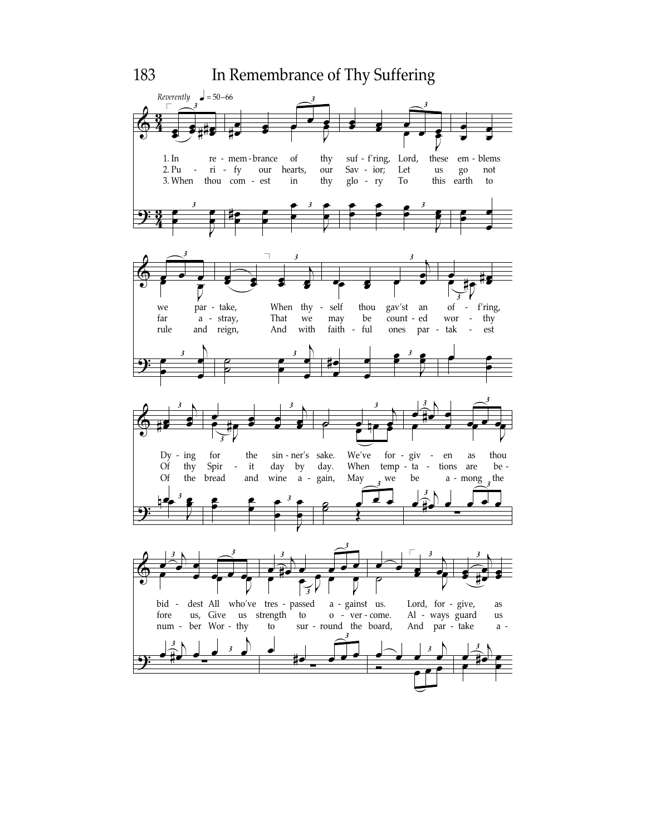